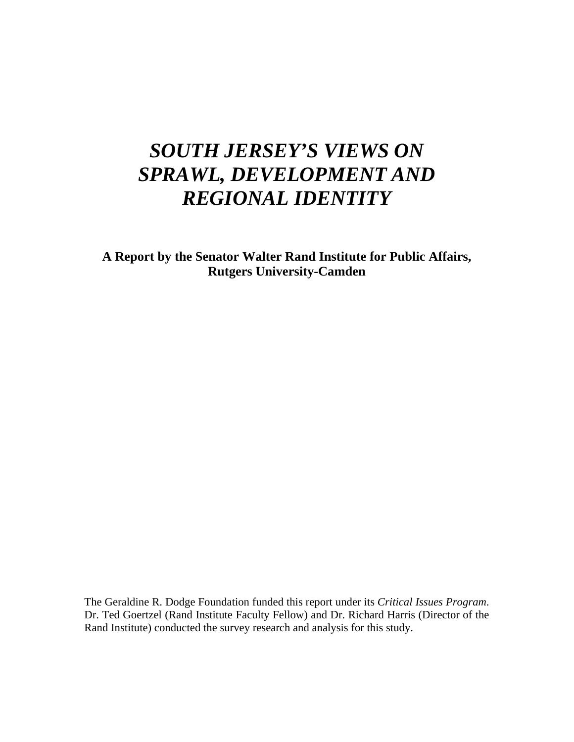## *SOUTH JERSEY'S VIEWS ON SPRAWL, DEVELOPMENT AND REGIONAL IDENTITY*

**A Report by the Senator Walter Rand Institute for Public Affairs, Rutgers University-Camden** 

The Geraldine R. Dodge Foundation funded this report under its *Critical Issues Program*. Dr. Ted Goertzel (Rand Institute Faculty Fellow) and Dr. Richard Harris (Director of the Rand Institute) conducted the survey research and analysis for this study.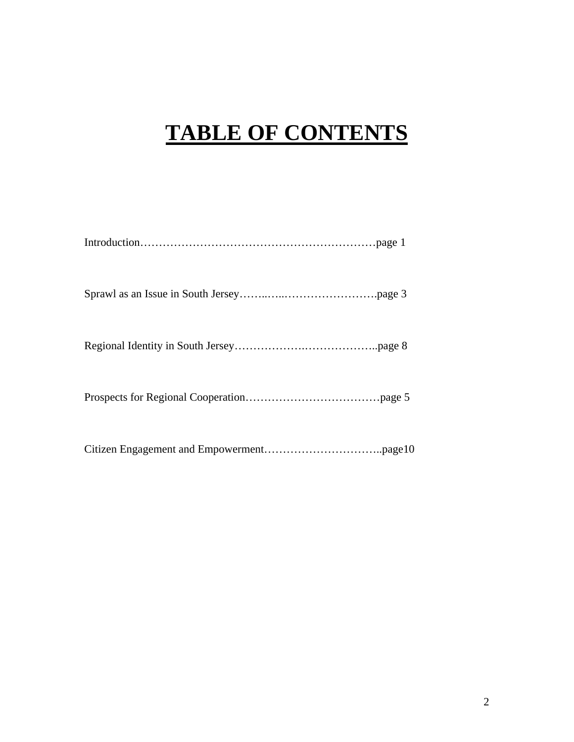# **TABLE OF CONTENTS**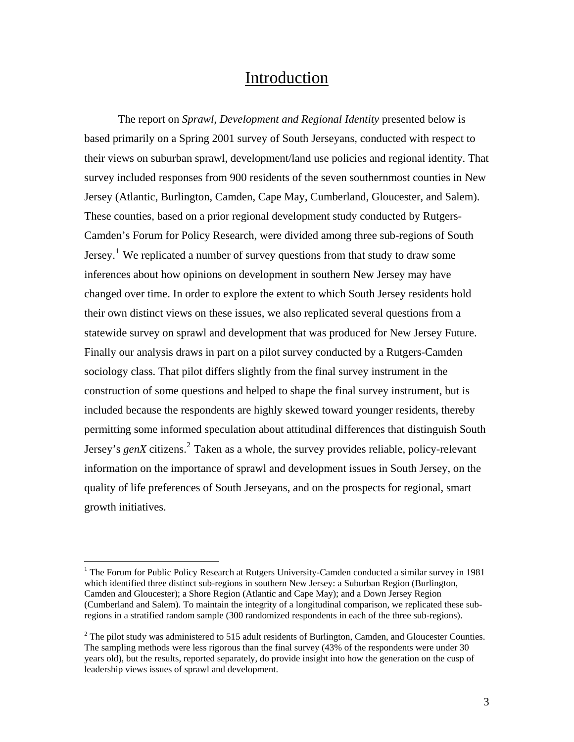## Introduction

 The report on *Sprawl, Development and Regional Identity* presented below is based primarily on a Spring 2001 survey of South Jerseyans, conducted with respect to their views on suburban sprawl, development/land use policies and regional identity. That survey included responses from 900 residents of the seven southernmost counties in New Jersey (Atlantic, Burlington, Camden, Cape May, Cumberland, Gloucester, and Salem). These counties, based on a prior regional development study conducted by Rutgers-Camden's Forum for Policy Research, were divided among three sub-regions of South Jersey.<sup>[1](#page-2-0)</sup> We replicated a number of survey questions from that study to draw some inferences about how opinions on development in southern New Jersey may have changed over time. In order to explore the extent to which South Jersey residents hold their own distinct views on these issues, we also replicated several questions from a statewide survey on sprawl and development that was produced for New Jersey Future. Finally our analysis draws in part on a pilot survey conducted by a Rutgers-Camden sociology class. That pilot differs slightly from the final survey instrument in the construction of some questions and helped to shape the final survey instrument, but is included because the respondents are highly skewed toward younger residents, thereby permitting some informed speculation about attitudinal differences that distinguish South Jersey's *genX* citizens.<sup>[2](#page-2-1)</sup> Taken as a whole, the survey provides reliable, policy-relevant information on the importance of sprawl and development issues in South Jersey, on the quality of life preferences of South Jerseyans, and on the prospects for regional, smart growth initiatives.

<span id="page-2-0"></span><sup>&</sup>lt;sup>1</sup> The Forum for Public Policy Research at Rutgers University-Camden conducted a similar survey in 1981 which identified three distinct sub-regions in southern New Jersey: a Suburban Region (Burlington, Camden and Gloucester); a Shore Region (Atlantic and Cape May); and a Down Jersey Region (Cumberland and Salem). To maintain the integrity of a longitudinal comparison, we replicated these subregions in a stratified random sample (300 randomized respondents in each of the three sub-regions).

<span id="page-2-1"></span> $2^2$  The pilot study was administered to 515 adult residents of Burlington, Camden, and Gloucester Counties. The sampling methods were less rigorous than the final survey (43% of the respondents were under 30 years old), but the results, reported separately, do provide insight into how the generation on the cusp of leadership views issues of sprawl and development.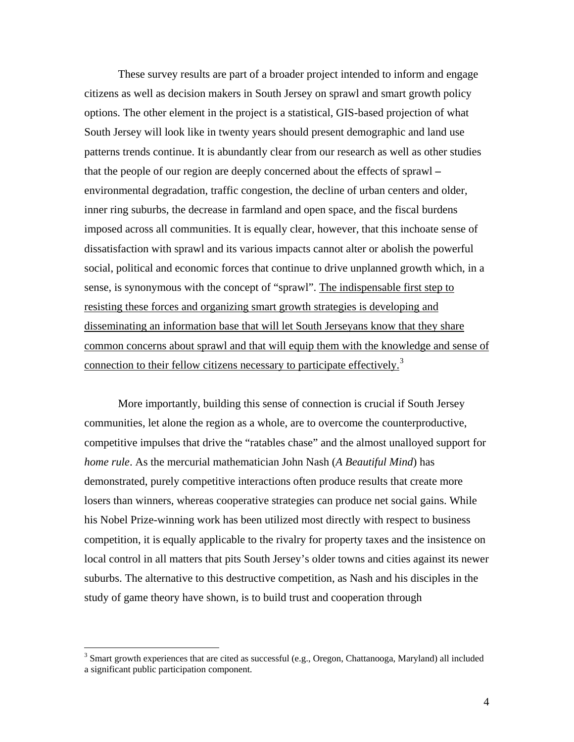These survey results are part of a broader project intended to inform and engage citizens as well as decision makers in South Jersey on sprawl and smart growth policy options. The other element in the project is a statistical, GIS-based projection of what South Jersey will look like in twenty years should present demographic and land use patterns trends continue. It is abundantly clear from our research as well as other studies that the people of our region are deeply concerned about the effects of sprawl **–** environmental degradation, traffic congestion, the decline of urban centers and older, inner ring suburbs, the decrease in farmland and open space, and the fiscal burdens imposed across all communities. It is equally clear, however, that this inchoate sense of dissatisfaction with sprawl and its various impacts cannot alter or abolish the powerful social, political and economic forces that continue to drive unplanned growth which, in a sense, is synonymous with the concept of "sprawl". The indispensable first step to resisting these forces and organizing smart growth strategies is developing and disseminating an information base that will let South Jerseyans know that they share common concerns about sprawl and that will equip them with the knowledge and sense of connection to their fellow citizens necessary to participate effectively.<sup>[3](#page-3-0)</sup>

 More importantly, building this sense of connection is crucial if South Jersey communities, let alone the region as a whole, are to overcome the counterproductive, competitive impulses that drive the "ratables chase" and the almost unalloyed support for *home rule*. As the mercurial mathematician John Nash (*A Beautiful Mind*) has demonstrated, purely competitive interactions often produce results that create more losers than winners, whereas cooperative strategies can produce net social gains. While his Nobel Prize-winning work has been utilized most directly with respect to business competition, it is equally applicable to the rivalry for property taxes and the insistence on local control in all matters that pits South Jersey's older towns and cities against its newer suburbs. The alternative to this destructive competition, as Nash and his disciples in the study of game theory have shown, is to build trust and cooperation through

<span id="page-3-0"></span> $3$  Smart growth experiences that are cited as successful (e.g., Oregon, Chattanooga, Maryland) all included a significant public participation component.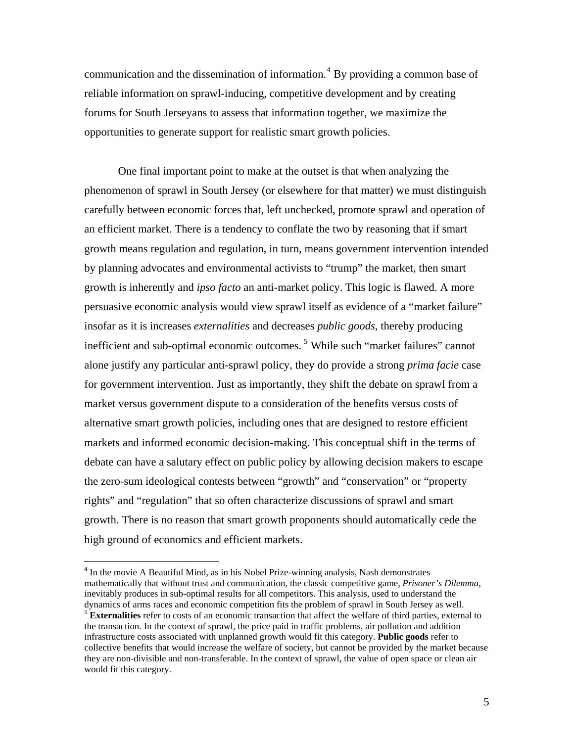communication and the dissemination of information.<sup>[4](#page-4-0)</sup> By providing a common base of reliable information on sprawl-inducing, competitive development and by creating forums for South Jerseyans to assess that information together, we maximize the opportunities to generate support for realistic smart growth policies.

 One final important point to make at the outset is that when analyzing the phenomenon of sprawl in South Jersey (or elsewhere for that matter) we must distinguish carefully between economic forces that, left unchecked, promote sprawl and operation of an efficient market. There is a tendency to conflate the two by reasoning that if smart growth means regulation and regulation, in turn, means government intervention intended by planning advocates and environmental activists to "trump" the market, then smart growth is inherently and *ipso facto* an anti-market policy. This logic is flawed. A more persuasive economic analysis would view sprawl itself as evidence of a "market failure" insofar as it is increases *externalities* and decreases *public goods*, thereby producing inefficient and sub-optimal economic outcomes.<sup>[5](#page-4-1)</sup> While such "market failures" cannot alone justify any particular anti-sprawl policy, they do provide a strong *prima facie* case for government intervention. Just as importantly, they shift the debate on sprawl from a market versus government dispute to a consideration of the benefits versus costs of alternative smart growth policies, including ones that are designed to restore efficient markets and informed economic decision-making. This conceptual shift in the terms of debate can have a salutary effect on public policy by allowing decision makers to escape the zero-sum ideological contests between "growth" and "conservation" or "property rights" and "regulation" that so often characterize discussions of sprawl and smart growth. There is no reason that smart growth proponents should automatically cede the high ground of economics and efficient markets.

<span id="page-4-0"></span><sup>&</sup>lt;sup>4</sup> In the movie A Beautiful Mind, as in his Nobel Prize-winning analysis, Nash demonstrates mathematically that without trust and communication, the classic competitive game, *Prisoner's Dilemma*, inevitably produces in sub-optimal results for all competitors. This analysis, used to understand the

<span id="page-4-1"></span>dynamics of arms races and economic competition fits the problem of sprawl in South Jersey as well. 5 **Externalities** refer to costs of an economic transaction that affect the welfare of third parties, external to the transaction. In the context of sprawl, the price paid in traffic problems, air pollution and addition infrastructure costs associated with unplanned growth would fit this category. **Public goods** refer to collective benefits that would increase the welfare of society, but cannot be provided by the market because they are non-divisible and non-transferable. In the context of sprawl, the value of open space or clean air would fit this category.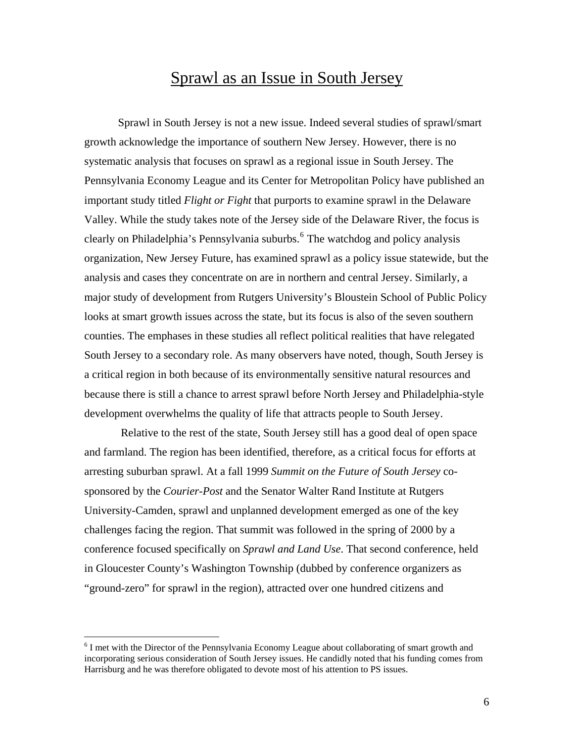## Sprawl as an Issue in South Jersey

 Sprawl in South Jersey is not a new issue. Indeed several studies of sprawl/smart growth acknowledge the importance of southern New Jersey. However, there is no systematic analysis that focuses on sprawl as a regional issue in South Jersey. The Pennsylvania Economy League and its Center for Metropolitan Policy have published an important study titled *Flight or Fight* that purports to examine sprawl in the Delaware Valley. While the study takes note of the Jersey side of the Delaware River, the focus is clearly on Philadelphia's Pennsylvania suburbs.<sup>[6](#page-5-0)</sup> The watchdog and policy analysis organization, New Jersey Future, has examined sprawl as a policy issue statewide, but the analysis and cases they concentrate on are in northern and central Jersey. Similarly, a major study of development from Rutgers University's Bloustein School of Public Policy looks at smart growth issues across the state, but its focus is also of the seven southern counties. The emphases in these studies all reflect political realities that have relegated South Jersey to a secondary role. As many observers have noted, though, South Jersey is a critical region in both because of its environmentally sensitive natural resources and because there is still a chance to arrest sprawl before North Jersey and Philadelphia-style development overwhelms the quality of life that attracts people to South Jersey.

 Relative to the rest of the state, South Jersey still has a good deal of open space and farmland. The region has been identified, therefore, as a critical focus for efforts at arresting suburban sprawl. At a fall 1999 *Summit on the Future of South Jersey* cosponsored by the *Courier-Post* and the Senator Walter Rand Institute at Rutgers University-Camden, sprawl and unplanned development emerged as one of the key challenges facing the region. That summit was followed in the spring of 2000 by a conference focused specifically on *Sprawl and Land Use*. That second conference, held in Gloucester County's Washington Township (dubbed by conference organizers as "ground-zero" for sprawl in the region), attracted over one hundred citizens and

<span id="page-5-0"></span><sup>&</sup>lt;sup>6</sup> I met with the Director of the Pennsylvania Economy League about collaborating of smart growth and incorporating serious consideration of South Jersey issues. He candidly noted that his funding comes from Harrisburg and he was therefore obligated to devote most of his attention to PS issues.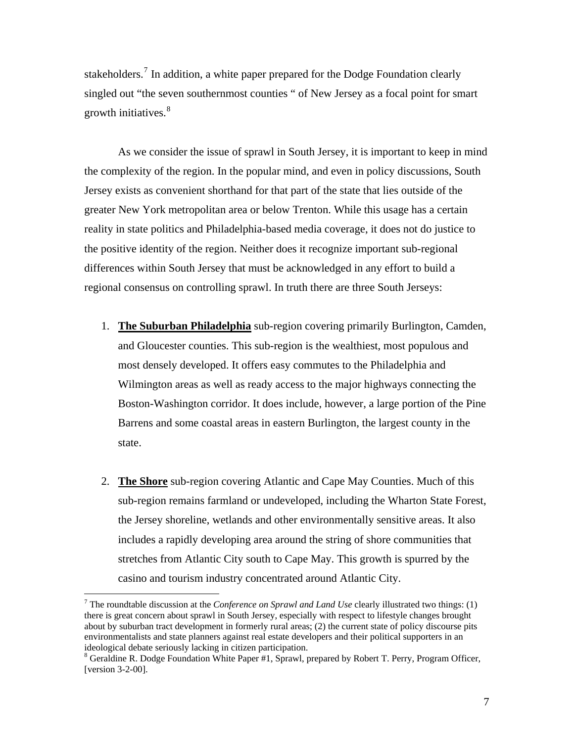stakeholders.<sup>[7](#page-6-0)</sup> In addition, a white paper prepared for the Dodge Foundation clearly singled out "the seven southernmost counties " of New Jersey as a focal point for smart growth initiatives.<sup>[8](#page-6-1)</sup>

 As we consider the issue of sprawl in South Jersey, it is important to keep in mind the complexity of the region. In the popular mind, and even in policy discussions, South Jersey exists as convenient shorthand for that part of the state that lies outside of the greater New York metropolitan area or below Trenton. While this usage has a certain reality in state politics and Philadelphia-based media coverage, it does not do justice to the positive identity of the region. Neither does it recognize important sub-regional differences within South Jersey that must be acknowledged in any effort to build a regional consensus on controlling sprawl. In truth there are three South Jerseys:

- 1. **The Suburban Philadelphia** sub-region covering primarily Burlington, Camden, and Gloucester counties. This sub-region is the wealthiest, most populous and most densely developed. It offers easy commutes to the Philadelphia and Wilmington areas as well as ready access to the major highways connecting the Boston-Washington corridor. It does include, however, a large portion of the Pine Barrens and some coastal areas in eastern Burlington, the largest county in the state.
- 2. **The Shore** sub-region covering Atlantic and Cape May Counties. Much of this sub-region remains farmland or undeveloped, including the Wharton State Forest, the Jersey shoreline, wetlands and other environmentally sensitive areas. It also includes a rapidly developing area around the string of shore communities that stretches from Atlantic City south to Cape May. This growth is spurred by the casino and tourism industry concentrated around Atlantic City.

<span id="page-6-0"></span><sup>7</sup> The roundtable discussion at the *Conference on Sprawl and Land Use* clearly illustrated two things: (1) there is great concern about sprawl in South Jersey, especially with respect to lifestyle changes brought about by suburban tract development in formerly rural areas; (2) the current state of policy discourse pits environmentalists and state planners against real estate developers and their political supporters in an ideological debate seriously lacking in citizen participation.

<span id="page-6-1"></span><sup>&</sup>lt;sup>8</sup> Geraldine R. Dodge Foundation White Paper #1, Sprawl, prepared by Robert T. Perry, Program Officer, [version 3-2-00].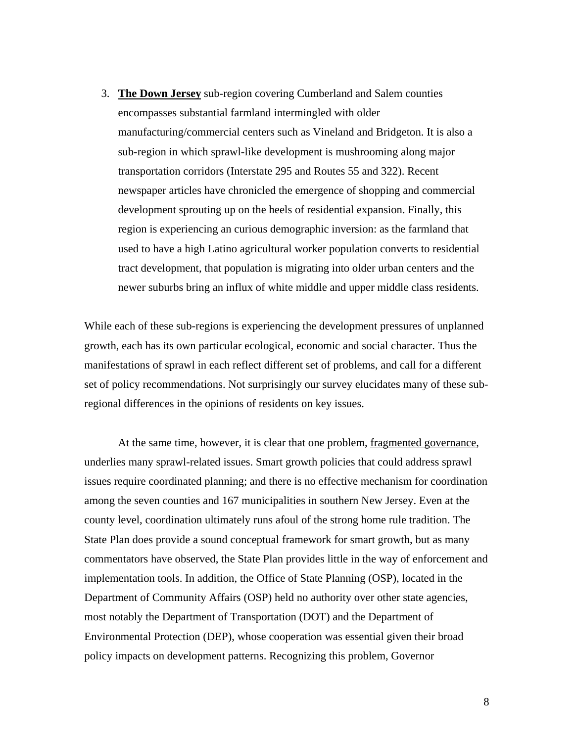3. **The Down Jersey** sub-region covering Cumberland and Salem counties encompasses substantial farmland intermingled with older manufacturing/commercial centers such as Vineland and Bridgeton. It is also a sub-region in which sprawl-like development is mushrooming along major transportation corridors (Interstate 295 and Routes 55 and 322). Recent newspaper articles have chronicled the emergence of shopping and commercial development sprouting up on the heels of residential expansion. Finally, this region is experiencing an curious demographic inversion: as the farmland that used to have a high Latino agricultural worker population converts to residential tract development, that population is migrating into older urban centers and the newer suburbs bring an influx of white middle and upper middle class residents.

While each of these sub-regions is experiencing the development pressures of unplanned growth, each has its own particular ecological, economic and social character. Thus the manifestations of sprawl in each reflect different set of problems, and call for a different set of policy recommendations. Not surprisingly our survey elucidates many of these subregional differences in the opinions of residents on key issues.

At the same time, however, it is clear that one problem, fragmented governance, underlies many sprawl-related issues. Smart growth policies that could address sprawl issues require coordinated planning; and there is no effective mechanism for coordination among the seven counties and 167 municipalities in southern New Jersey. Even at the county level, coordination ultimately runs afoul of the strong home rule tradition. The State Plan does provide a sound conceptual framework for smart growth, but as many commentators have observed, the State Plan provides little in the way of enforcement and implementation tools. In addition, the Office of State Planning (OSP), located in the Department of Community Affairs (OSP) held no authority over other state agencies, most notably the Department of Transportation (DOT) and the Department of Environmental Protection (DEP), whose cooperation was essential given their broad policy impacts on development patterns. Recognizing this problem, Governor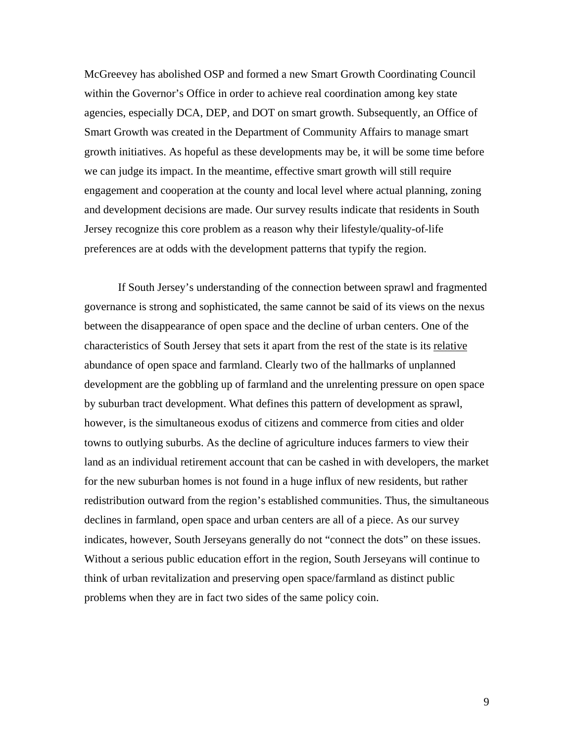McGreevey has abolished OSP and formed a new Smart Growth Coordinating Council within the Governor's Office in order to achieve real coordination among key state agencies, especially DCA, DEP, and DOT on smart growth. Subsequently, an Office of Smart Growth was created in the Department of Community Affairs to manage smart growth initiatives. As hopeful as these developments may be, it will be some time before we can judge its impact. In the meantime, effective smart growth will still require engagement and cooperation at the county and local level where actual planning, zoning and development decisions are made. Our survey results indicate that residents in South Jersey recognize this core problem as a reason why their lifestyle/quality-of-life preferences are at odds with the development patterns that typify the region.

If South Jersey's understanding of the connection between sprawl and fragmented governance is strong and sophisticated, the same cannot be said of its views on the nexus between the disappearance of open space and the decline of urban centers. One of the characteristics of South Jersey that sets it apart from the rest of the state is its relative abundance of open space and farmland. Clearly two of the hallmarks of unplanned development are the gobbling up of farmland and the unrelenting pressure on open space by suburban tract development. What defines this pattern of development as sprawl, however, is the simultaneous exodus of citizens and commerce from cities and older towns to outlying suburbs. As the decline of agriculture induces farmers to view their land as an individual retirement account that can be cashed in with developers, the market for the new suburban homes is not found in a huge influx of new residents, but rather redistribution outward from the region's established communities. Thus, the simultaneous declines in farmland, open space and urban centers are all of a piece. As our survey indicates, however, South Jerseyans generally do not "connect the dots" on these issues. Without a serious public education effort in the region, South Jerseyans will continue to think of urban revitalization and preserving open space/farmland as distinct public problems when they are in fact two sides of the same policy coin.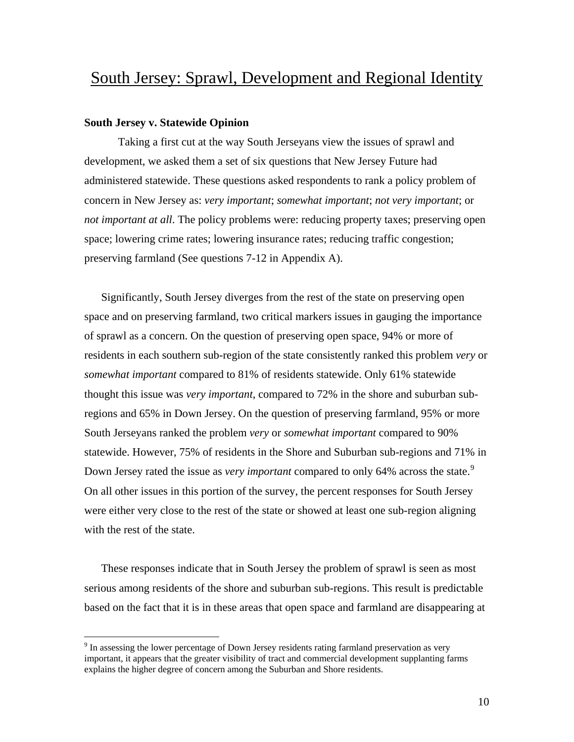## South Jersey: Sprawl, Development and Regional Identity

#### **South Jersey v. Statewide Opinion**

 $\overline{a}$ 

 Taking a first cut at the way South Jerseyans view the issues of sprawl and development, we asked them a set of six questions that New Jersey Future had administered statewide. These questions asked respondents to rank a policy problem of concern in New Jersey as: *very important*; *somewhat important*; *not very important*; or *not important at all*. The policy problems were: reducing property taxes; preserving open space; lowering crime rates; lowering insurance rates; reducing traffic congestion; preserving farmland (See questions 7-12 in Appendix A).

Significantly, South Jersey diverges from the rest of the state on preserving open space and on preserving farmland, two critical markers issues in gauging the importance of sprawl as a concern. On the question of preserving open space, 94% or more of residents in each southern sub-region of the state consistently ranked this problem *very* or *somewhat important* compared to 81% of residents statewide. Only 61% statewide thought this issue was *very important*, compared to 72% in the shore and suburban subregions and 65% in Down Jersey. On the question of preserving farmland, 95% or more South Jerseyans ranked the problem *very* or *somewhat important* compared to 90% statewide. However, 75% of residents in the Shore and Suburban sub-regions and 71% in Down Jersey rated the issue as *very important* compared to only 64% across the state.<sup>[9](#page-9-0)</sup> On all other issues in this portion of the survey, the percent responses for South Jersey were either very close to the rest of the state or showed at least one sub-region aligning with the rest of the state.

These responses indicate that in South Jersey the problem of sprawl is seen as most serious among residents of the shore and suburban sub-regions. This result is predictable based on the fact that it is in these areas that open space and farmland are disappearing at

<span id="page-9-0"></span><sup>&</sup>lt;sup>9</sup> In assessing the lower percentage of Down Jersey residents rating farmland preservation as very important, it appears that the greater visibility of tract and commercial development supplanting farms explains the higher degree of concern among the Suburban and Shore residents.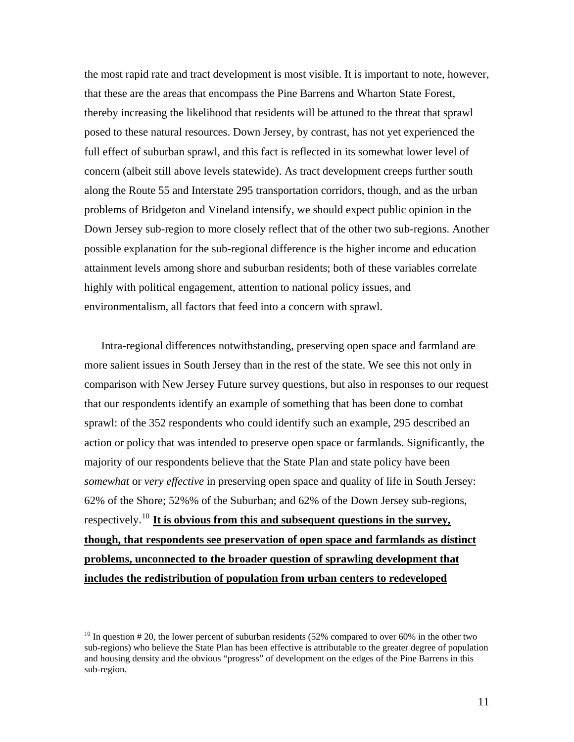the most rapid rate and tract development is most visible. It is important to note, however, that these are the areas that encompass the Pine Barrens and Wharton State Forest, thereby increasing the likelihood that residents will be attuned to the threat that sprawl posed to these natural resources. Down Jersey, by contrast, has not yet experienced the full effect of suburban sprawl, and this fact is reflected in its somewhat lower level of concern (albeit still above levels statewide). As tract development creeps further south along the Route 55 and Interstate 295 transportation corridors, though, and as the urban problems of Bridgeton and Vineland intensify, we should expect public opinion in the Down Jersey sub-region to more closely reflect that of the other two sub-regions. Another possible explanation for the sub-regional difference is the higher income and education attainment levels among shore and suburban residents; both of these variables correlate highly with political engagement, attention to national policy issues, and environmentalism, all factors that feed into a concern with sprawl.

Intra-regional differences notwithstanding, preserving open space and farmland are more salient issues in South Jersey than in the rest of the state. We see this not only in comparison with New Jersey Future survey questions, but also in responses to our request that our respondents identify an example of something that has been done to combat sprawl: of the 352 respondents who could identify such an example, 295 described an action or policy that was intended to preserve open space or farmlands. Significantly, the majority of our respondents believe that the State Plan and state policy have been *somewhat* or *very effective* in preserving open space and quality of life in South Jersey: 62% of the Shore; 52%% of the Suburban; and 62% of the Down Jersey sub-regions, respectively.[10](#page-10-0) **It is obvious from this and subsequent questions in the survey, though, that respondents see preservation of open space and farmlands as distinct problems, unconnected to the broader question of sprawling development that includes the redistribution of population from urban centers to redeveloped** 

<span id="page-10-0"></span> $10$  In question # 20, the lower percent of suburban residents (52% compared to over 60% in the other two sub-regions) who believe the State Plan has been effective is attributable to the greater degree of population and housing density and the obvious "progress" of development on the edges of the Pine Barrens in this sub-region.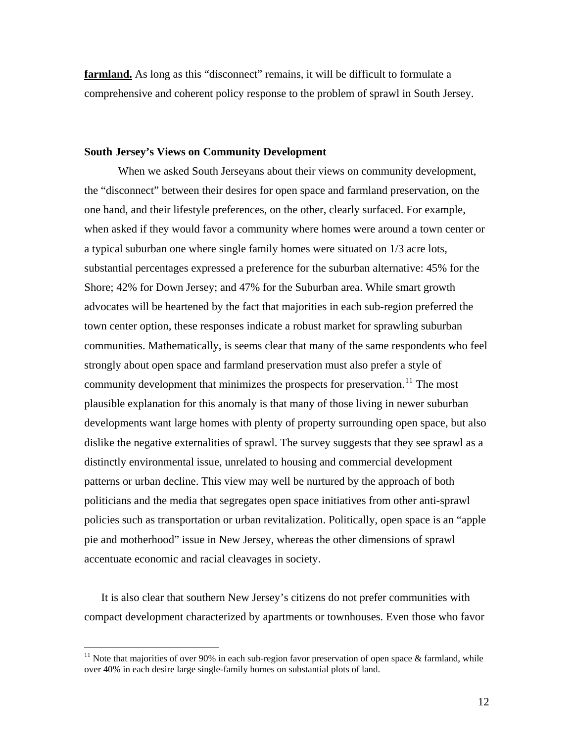**farmland.** As long as this "disconnect" remains, it will be difficult to formulate a comprehensive and coherent policy response to the problem of sprawl in South Jersey.

#### **South Jersey's Views on Community Development**

 When we asked South Jerseyans about their views on community development, the "disconnect" between their desires for open space and farmland preservation, on the one hand, and their lifestyle preferences, on the other, clearly surfaced. For example, when asked if they would favor a community where homes were around a town center or a typical suburban one where single family homes were situated on 1/3 acre lots, substantial percentages expressed a preference for the suburban alternative: 45% for the Shore; 42% for Down Jersey; and 47% for the Suburban area. While smart growth advocates will be heartened by the fact that majorities in each sub-region preferred the town center option, these responses indicate a robust market for sprawling suburban communities. Mathematically, is seems clear that many of the same respondents who feel strongly about open space and farmland preservation must also prefer a style of community development that minimizes the prospects for preservation.<sup>[11](#page-11-0)</sup> The most plausible explanation for this anomaly is that many of those living in newer suburban developments want large homes with plenty of property surrounding open space, but also dislike the negative externalities of sprawl. The survey suggests that they see sprawl as a distinctly environmental issue, unrelated to housing and commercial development patterns or urban decline. This view may well be nurtured by the approach of both politicians and the media that segregates open space initiatives from other anti-sprawl policies such as transportation or urban revitalization. Politically, open space is an "apple pie and motherhood" issue in New Jersey, whereas the other dimensions of sprawl accentuate economic and racial cleavages in society.

It is also clear that southern New Jersey's citizens do not prefer communities with compact development characterized by apartments or townhouses. Even those who favor

<span id="page-11-0"></span><sup>&</sup>lt;sup>11</sup> Note that majorities of over 90% in each sub-region favor preservation of open space  $\&$  farmland, while over 40% in each desire large single-family homes on substantial plots of land.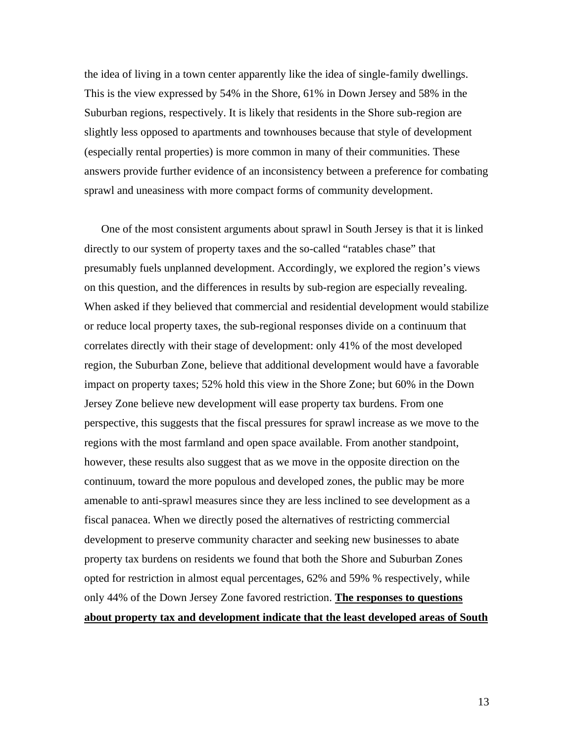the idea of living in a town center apparently like the idea of single-family dwellings. This is the view expressed by 54% in the Shore, 61% in Down Jersey and 58% in the Suburban regions, respectively. It is likely that residents in the Shore sub-region are slightly less opposed to apartments and townhouses because that style of development (especially rental properties) is more common in many of their communities. These answers provide further evidence of an inconsistency between a preference for combating sprawl and uneasiness with more compact forms of community development.

One of the most consistent arguments about sprawl in South Jersey is that it is linked directly to our system of property taxes and the so-called "ratables chase" that presumably fuels unplanned development. Accordingly, we explored the region's views on this question, and the differences in results by sub-region are especially revealing. When asked if they believed that commercial and residential development would stabilize or reduce local property taxes, the sub-regional responses divide on a continuum that correlates directly with their stage of development: only 41% of the most developed region, the Suburban Zone, believe that additional development would have a favorable impact on property taxes; 52% hold this view in the Shore Zone; but 60% in the Down Jersey Zone believe new development will ease property tax burdens. From one perspective, this suggests that the fiscal pressures for sprawl increase as we move to the regions with the most farmland and open space available. From another standpoint, however, these results also suggest that as we move in the opposite direction on the continuum, toward the more populous and developed zones, the public may be more amenable to anti-sprawl measures since they are less inclined to see development as a fiscal panacea. When we directly posed the alternatives of restricting commercial development to preserve community character and seeking new businesses to abate property tax burdens on residents we found that both the Shore and Suburban Zones opted for restriction in almost equal percentages, 62% and 59% % respectively, while only 44% of the Down Jersey Zone favored restriction. **The responses to questions about property tax and development indicate that the least developed areas of South**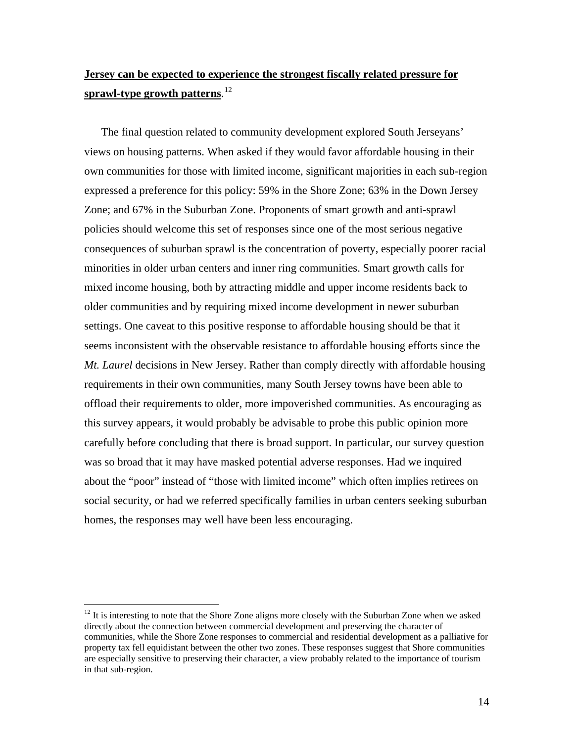### **Jersey can be expected to experience the strongest fiscally related pressure for sprawl-type growth patterns**. [12](#page-13-0)

The final question related to community development explored South Jerseyans' views on housing patterns. When asked if they would favor affordable housing in their own communities for those with limited income, significant majorities in each sub-region expressed a preference for this policy: 59% in the Shore Zone; 63% in the Down Jersey Zone; and 67% in the Suburban Zone. Proponents of smart growth and anti-sprawl policies should welcome this set of responses since one of the most serious negative consequences of suburban sprawl is the concentration of poverty, especially poorer racial minorities in older urban centers and inner ring communities. Smart growth calls for mixed income housing, both by attracting middle and upper income residents back to older communities and by requiring mixed income development in newer suburban settings. One caveat to this positive response to affordable housing should be that it seems inconsistent with the observable resistance to affordable housing efforts since the *Mt. Laurel* decisions in New Jersey. Rather than comply directly with affordable housing requirements in their own communities, many South Jersey towns have been able to offload their requirements to older, more impoverished communities. As encouraging as this survey appears, it would probably be advisable to probe this public opinion more carefully before concluding that there is broad support. In particular, our survey question was so broad that it may have masked potential adverse responses. Had we inquired about the "poor" instead of "those with limited income" which often implies retirees on social security, or had we referred specifically families in urban centers seeking suburban homes, the responses may well have been less encouraging.

<span id="page-13-0"></span> $12$  It is interesting to note that the Shore Zone aligns more closely with the Suburban Zone when we asked directly about the connection between commercial development and preserving the character of communities, while the Shore Zone responses to commercial and residential development as a palliative for property tax fell equidistant between the other two zones. These responses suggest that Shore communities are especially sensitive to preserving their character, a view probably related to the importance of tourism in that sub-region.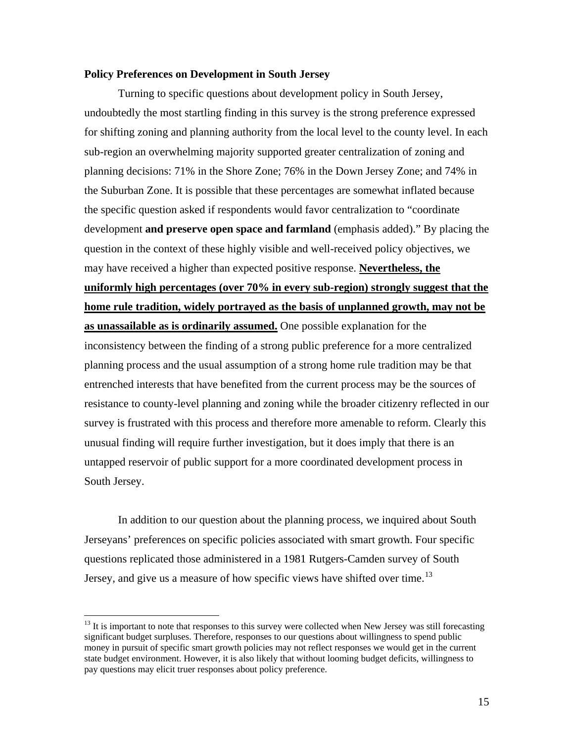#### **Policy Preferences on Development in South Jersey**

 Turning to specific questions about development policy in South Jersey, undoubtedly the most startling finding in this survey is the strong preference expressed for shifting zoning and planning authority from the local level to the county level. In each sub-region an overwhelming majority supported greater centralization of zoning and planning decisions: 71% in the Shore Zone; 76% in the Down Jersey Zone; and 74% in the Suburban Zone. It is possible that these percentages are somewhat inflated because the specific question asked if respondents would favor centralization to "coordinate development **and preserve open space and farmland** (emphasis added)." By placing the question in the context of these highly visible and well-received policy objectives, we may have received a higher than expected positive response. **Nevertheless, the uniformly high percentages (over 70% in every sub-region) strongly suggest that the home rule tradition, widely portrayed as the basis of unplanned growth, may not be as unassailable as is ordinarily assumed.** One possible explanation for the inconsistency between the finding of a strong public preference for a more centralized planning process and the usual assumption of a strong home rule tradition may be that entrenched interests that have benefited from the current process may be the sources of resistance to county-level planning and zoning while the broader citizenry reflected in our survey is frustrated with this process and therefore more amenable to reform. Clearly this unusual finding will require further investigation, but it does imply that there is an untapped reservoir of public support for a more coordinated development process in South Jersey.

 In addition to our question about the planning process, we inquired about South Jerseyans' preferences on specific policies associated with smart growth. Four specific questions replicated those administered in a 1981 Rutgers-Camden survey of South Jersey, and give us a measure of how specific views have shifted over time.<sup>[13](#page-14-0)</sup>

<span id="page-14-0"></span><sup>&</sup>lt;sup>13</sup> It is important to note that responses to this survey were collected when New Jersey was still forecasting significant budget surpluses. Therefore, responses to our questions about willingness to spend public money in pursuit of specific smart growth policies may not reflect responses we would get in the current state budget environment. However, it is also likely that without looming budget deficits, willingness to pay questions may elicit truer responses about policy preference.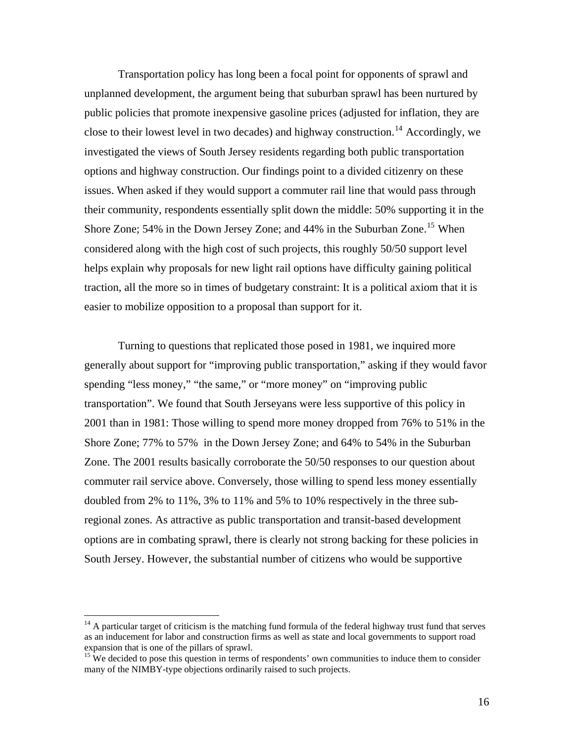Transportation policy has long been a focal point for opponents of sprawl and unplanned development, the argument being that suburban sprawl has been nurtured by public policies that promote inexpensive gasoline prices (adjusted for inflation, they are close to their lowest level in two decades) and highway construction.<sup>[14](#page-15-0)</sup> Accordingly, we investigated the views of South Jersey residents regarding both public transportation options and highway construction. Our findings point to a divided citizenry on these issues. When asked if they would support a commuter rail line that would pass through their community, respondents essentially split down the middle: 50% supporting it in the Shore Zone; 54% in the Down Jersey Zone; and 44% in the Suburban Zone.<sup>[15](#page-15-1)</sup> When considered along with the high cost of such projects, this roughly 50/50 support level helps explain why proposals for new light rail options have difficulty gaining political traction, all the more so in times of budgetary constraint: It is a political axiom that it is easier to mobilize opposition to a proposal than support for it.

Turning to questions that replicated those posed in 1981, we inquired more generally about support for "improving public transportation," asking if they would favor spending "less money," "the same," or "more money" on "improving public transportation". We found that South Jerseyans were less supportive of this policy in 2001 than in 1981: Those willing to spend more money dropped from 76% to 51% in the Shore Zone; 77% to 57% in the Down Jersey Zone; and 64% to 54% in the Suburban Zone. The 2001 results basically corroborate the 50/50 responses to our question about commuter rail service above. Conversely, those willing to spend less money essentially doubled from 2% to 11%, 3% to 11% and 5% to 10% respectively in the three subregional zones. As attractive as public transportation and transit-based development options are in combating sprawl, there is clearly not strong backing for these policies in South Jersey. However, the substantial number of citizens who would be supportive

<span id="page-15-0"></span><sup>&</sup>lt;sup>14</sup> A particular target of criticism is the matching fund formula of the federal highway trust fund that serves as an inducement for labor and construction firms as well as state and local governments to support road expansion that is one of the pillars of sprawl.

<span id="page-15-1"></span> $15$  We decided to pose this question in terms of respondents' own communities to induce them to consider many of the NIMBY-type objections ordinarily raised to such projects.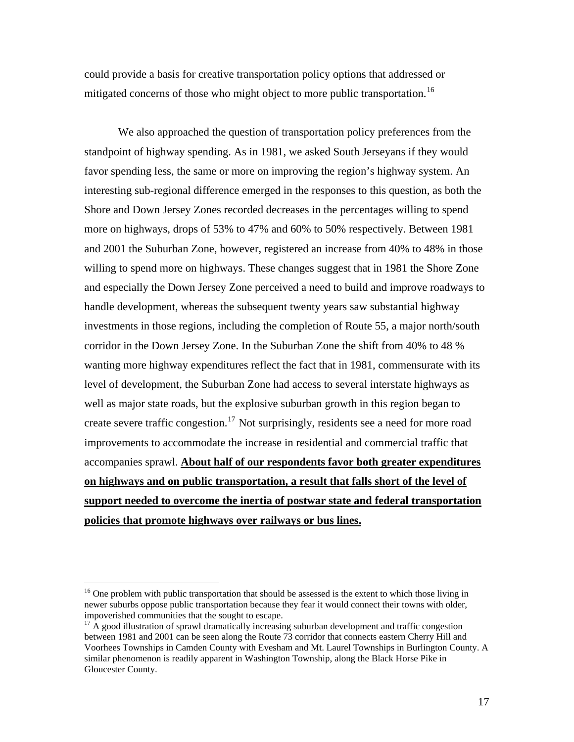could provide a basis for creative transportation policy options that addressed or mitigated concerns of those who might object to more public transportation.<sup>[16](#page-16-0)</sup>

We also approached the question of transportation policy preferences from the standpoint of highway spending. As in 1981, we asked South Jerseyans if they would favor spending less, the same or more on improving the region's highway system. An interesting sub-regional difference emerged in the responses to this question, as both the Shore and Down Jersey Zones recorded decreases in the percentages willing to spend more on highways, drops of 53% to 47% and 60% to 50% respectively. Between 1981 and 2001 the Suburban Zone, however, registered an increase from 40% to 48% in those willing to spend more on highways. These changes suggest that in 1981 the Shore Zone and especially the Down Jersey Zone perceived a need to build and improve roadways to handle development, whereas the subsequent twenty years saw substantial highway investments in those regions, including the completion of Route 55, a major north/south corridor in the Down Jersey Zone. In the Suburban Zone the shift from 40% to 48 % wanting more highway expenditures reflect the fact that in 1981, commensurate with its level of development, the Suburban Zone had access to several interstate highways as well as major state roads, but the explosive suburban growth in this region began to create severe traffic congestion.<sup>[17](#page-16-1)</sup> Not surprisingly, residents see a need for more road improvements to accommodate the increase in residential and commercial traffic that accompanies sprawl. **About half of our respondents favor both greater expenditures on highways and on public transportation, a result that falls short of the level of support needed to overcome the inertia of postwar state and federal transportation policies that promote highways over railways or bus lines.**

<span id="page-16-0"></span><sup>&</sup>lt;sup>16</sup> One problem with public transportation that should be assessed is the extent to which those living in newer suburbs oppose public transportation because they fear it would connect their towns with older, impoverished communities that the sought to escape.

<span id="page-16-1"></span> $17$  A good illustration of sprawl dramatically increasing suburban development and traffic congestion between 1981 and 2001 can be seen along the Route 73 corridor that connects eastern Cherry Hill and Voorhees Townships in Camden County with Evesham and Mt. Laurel Townships in Burlington County. A similar phenomenon is readily apparent in Washington Township, along the Black Horse Pike in Gloucester County.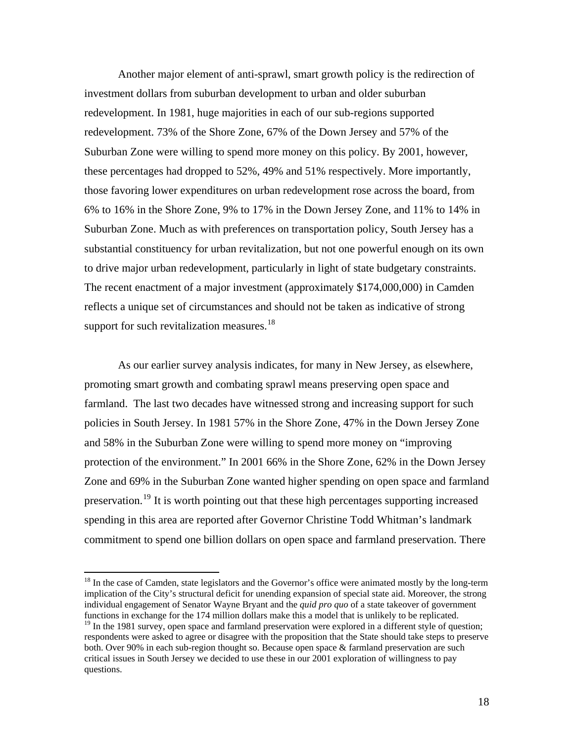Another major element of anti-sprawl, smart growth policy is the redirection of investment dollars from suburban development to urban and older suburban redevelopment. In 1981, huge majorities in each of our sub-regions supported redevelopment. 73% of the Shore Zone, 67% of the Down Jersey and 57% of the Suburban Zone were willing to spend more money on this policy. By 2001, however, these percentages had dropped to 52%, 49% and 51% respectively. More importantly, those favoring lower expenditures on urban redevelopment rose across the board, from 6% to 16% in the Shore Zone, 9% to 17% in the Down Jersey Zone, and 11% to 14% in Suburban Zone. Much as with preferences on transportation policy, South Jersey has a substantial constituency for urban revitalization, but not one powerful enough on its own to drive major urban redevelopment, particularly in light of state budgetary constraints. The recent enactment of a major investment (approximately \$174,000,000) in Camden reflects a unique set of circumstances and should not be taken as indicative of strong support for such revitalization measures. $18$ 

 As our earlier survey analysis indicates, for many in New Jersey, as elsewhere, promoting smart growth and combating sprawl means preserving open space and farmland. The last two decades have witnessed strong and increasing support for such policies in South Jersey. In 1981 57% in the Shore Zone, 47% in the Down Jersey Zone and 58% in the Suburban Zone were willing to spend more money on "improving protection of the environment." In 2001 66% in the Shore Zone, 62% in the Down Jersey Zone and 69% in the Suburban Zone wanted higher spending on open space and farmland preservation.[19](#page-17-1) It is worth pointing out that these high percentages supporting increased spending in this area are reported after Governor Christine Todd Whitman's landmark commitment to spend one billion dollars on open space and farmland preservation. There

<span id="page-17-1"></span><span id="page-17-0"></span><sup>&</sup>lt;sup>18</sup> In the case of Camden, state legislators and the Governor's office were animated mostly by the long-term implication of the City's structural deficit for unending expansion of special state aid. Moreover, the strong individual engagement of Senator Wayne Bryant and the *quid pro quo* of a state takeover of government functions in exchange for the 174 million dollars make this a model that is unlikely to be replicated. <sup>19</sup> In the 1981 survey, open space and farmland preservation were explored in a different style of question; respondents were asked to agree or disagree with the proposition that the State should take steps to preserve both. Over 90% in each sub-region thought so. Because open space & farmland preservation are such critical issues in South Jersey we decided to use these in our 2001 exploration of willingness to pay questions.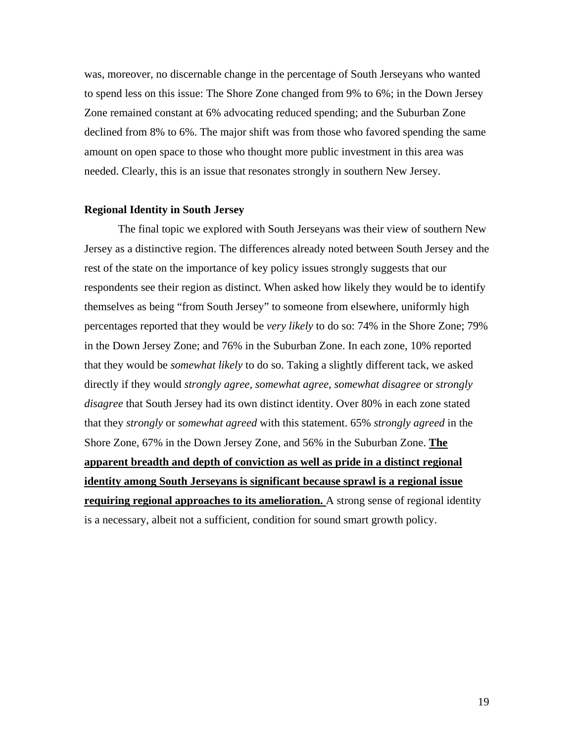was, moreover, no discernable change in the percentage of South Jerseyans who wanted to spend less on this issue: The Shore Zone changed from 9% to 6%; in the Down Jersey Zone remained constant at 6% advocating reduced spending; and the Suburban Zone declined from 8% to 6%. The major shift was from those who favored spending the same amount on open space to those who thought more public investment in this area was needed. Clearly, this is an issue that resonates strongly in southern New Jersey.

#### **Regional Identity in South Jersey**

 The final topic we explored with South Jerseyans was their view of southern New Jersey as a distinctive region. The differences already noted between South Jersey and the rest of the state on the importance of key policy issues strongly suggests that our respondents see their region as distinct. When asked how likely they would be to identify themselves as being "from South Jersey" to someone from elsewhere, uniformly high percentages reported that they would be *very likely* to do so: 74% in the Shore Zone; 79% in the Down Jersey Zone; and 76% in the Suburban Zone. In each zone, 10% reported that they would be *somewhat likely* to do so. Taking a slightly different tack, we asked directly if they would *strongly agree, somewhat agree*, *somewhat disagree* or *strongly disagree* that South Jersey had its own distinct identity. Over 80% in each zone stated that they *strongly* or *somewhat agreed* with this statement. 65% *strongly agreed* in the Shore Zone, 67% in the Down Jersey Zone, and 56% in the Suburban Zone. **The apparent breadth and depth of conviction as well as pride in a distinct regional identity among South Jerseyans is significant because sprawl is a regional issue requiring regional approaches to its amelioration.** A strong sense of regional identity is a necessary, albeit not a sufficient, condition for sound smart growth policy.